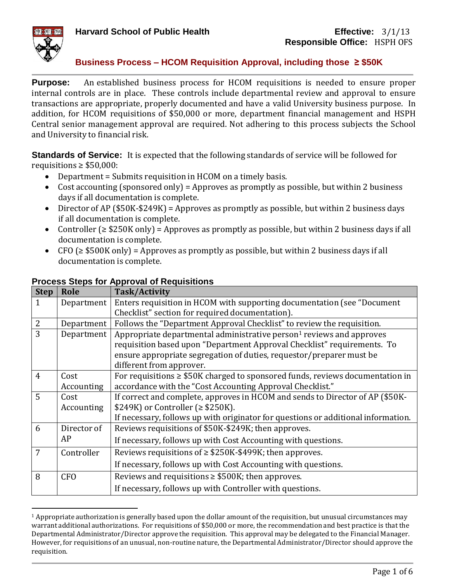

**Purpose:** An established business process for HCOM requisitions is needed to ensure proper internal controls are in place. These controls include departmental review and approval to ensure transactions are appropriate, properly documented and have a valid University business purpose. In addition, for HCOM requisitions of \$50,000 or more, department financial management and HSPH Central senior management approval are required. Not adhering to this process subjects the School and University to financial risk.

**Standards of Service:** It is expected that the following standards of service will be followed for requisitions  $\geq$  \$50,000:

- Department = Submits requisition in HCOM on a timely basis.
- Cost accounting (sponsored only) = Approves as promptly as possible, but within 2 business days if all documentation is complete.
- Director of AP (\$50K-\$249K) = Approves as promptly as possible, but within 2 business days if all documentation is complete.
- Controller (≥ \$250K only) = Approves as promptly as possible, but within 2 business days if all documentation is complete.
- CFO ( $\geq$  \$500K only) = Approves as promptly as possible, but within 2 business days if all documentation is complete.

| <b>Step</b>    | Role        | <b>Task/Activity</b>                                                               |  |  |  |
|----------------|-------------|------------------------------------------------------------------------------------|--|--|--|
| $\mathbf 1$    | Department  | Enters requisition in HCOM with supporting documentation (see "Document"           |  |  |  |
|                |             | Checklist" section for required documentation).                                    |  |  |  |
| $\overline{2}$ | Department  | Follows the "Department Approval Checklist" to review the requisition.             |  |  |  |
| 3              | Department  | Appropriate departmental administrative person <sup>1</sup> reviews and approves   |  |  |  |
|                |             | requisition based upon "Department Approval Checklist" requirements. To            |  |  |  |
|                |             | ensure appropriate segregation of duties, requestor/preparer must be               |  |  |  |
|                |             | different from approver.                                                           |  |  |  |
| $\overline{4}$ | Cost        | For requisitions $\geq$ \$50K charged to sponsored funds, reviews documentation in |  |  |  |
|                | Accounting  | accordance with the "Cost Accounting Approval Checklist."                          |  |  |  |
| 5              | Cost        | If correct and complete, approves in HCOM and sends to Director of AP (\$50K-      |  |  |  |
|                | Accounting  | \$249K) or Controller ( $\ge$ \$250K).                                             |  |  |  |
|                |             | If necessary, follows up with originator for questions or additional information.  |  |  |  |
| 6              | Director of | Reviews requisitions of \$50K-\$249K; then approves.                               |  |  |  |
|                | AP          | If necessary, follows up with Cost Accounting with questions.                      |  |  |  |
| 7              | Controller  | Reviews requisitions of $\geq$ \$250K-\$499K; then approves.                       |  |  |  |
|                |             | If necessary, follows up with Cost Accounting with questions.                      |  |  |  |
| 8              | <b>CFO</b>  | Reviews and requisitions $\geq$ \$500K; then approves.                             |  |  |  |
|                |             | If necessary, follows up with Controller with questions.                           |  |  |  |

### **Process Steps for Approval of Requisitions**

 $1$  Appropriate authorization is generally based upon the dollar amount of the requisition, but unusual circumstances may warrant additional authorizations. For requisitions of \$50,000 or more, the recommendation and best practice is that the Departmental Administrator/Director approve the requisition. This approval may be delegated to the Financial Manager. However, for requisitions of an unusual, non-routine nature, the Departmental Administrator/Director should approve the requisition.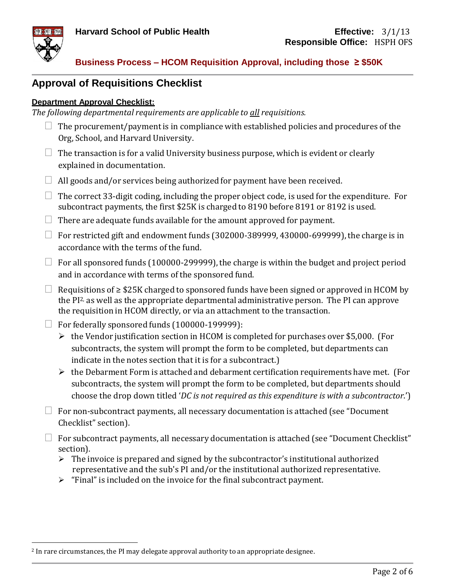



# **Approval of Requisitions Checklist**

#### **Department Approval Checklist:**

*The following departmental requirements are applicable to all requisitions.*

- $\Box$  The procurement/payment is in compliance with established policies and procedures of the Org, School, and Harvard University.
- $\Box$  The transaction is for a valid University business purpose, which is evident or clearly explained in documentation.
- $\Box$  All goods and/or services being authorized for payment have been received.
- $\Box$  The correct 33-digit coding, including the proper object code, is used for the expenditure. For subcontract payments, the first \$25K is charged to 8190 before 8191 or 8192 is used.
- $\Box$  There are adequate funds available for the amount approved for payment.
- $\Box$  For restricted gift and endowment funds (302000-389999, 430000-699999), the charge is in accordance with the terms of the fund.
- $\Box$  For all sponsored funds (100000-299999), the charge is within the budget and project period and in accordance with terms of the sponsored fund.
- $□$  Requisitions of  $\geq$  \$25K charged to sponsored funds have been signed or approved in HCOM by the PI<sup>2,</sup> as well as the appropriate departmental administrative person. The PI can approve the requisition in HCOM directly, or via an attachment to the transaction.
- $\Box$  For federally sponsored funds (100000-199999):
	- $\triangleright$  the Vendor justification section in HCOM is completed for purchases over \$5,000. (For subcontracts, the system will prompt the form to be completed, but departments can indicate in the notes section that it is for a subcontract.)
	- $\triangleright$  the Debarment Form is attached and debarment certification requirements have met. (For subcontracts, the system will prompt the form to be completed, but departments should choose the drop down titled '*DC is not required as this expenditure is with a subcontractor*.')
- $\Box$  For non-subcontract payments, all necessary documentation is attached (see "Document Checklist" section).
- $\Box$  For subcontract payments, all necessary documentation is attached (see "Document Checklist" section).
	- $\triangleright$  The invoice is prepared and signed by the subcontractor's institutional authorized representative and the sub's PI and/or the institutional authorized representative.
	- $\triangleright$  "Final" is included on the invoice for the final subcontract payment.

<sup>&</sup>lt;sup>2</sup> In rare circumstances, the PI may delegate approval authority to an appropriate designee.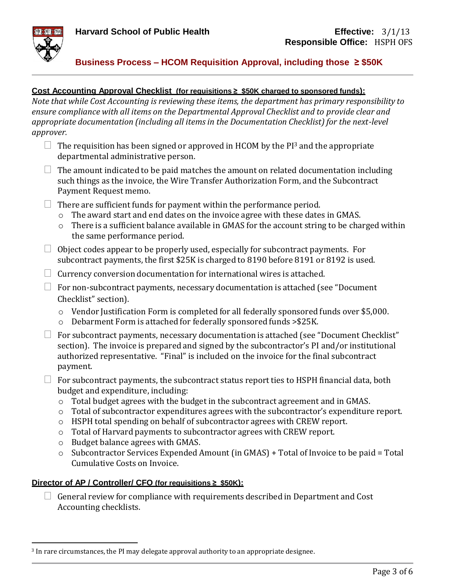

#### **Cost Accounting Approval Checklist (for requisitions ≥ \$50K charged to sponsored funds):**

*Note that while Cost Accounting is reviewing these items, the department has primary responsibility to ensure compliance with all items on the Departmental Approval Checklist and to provide clear and appropriate documentation (including all itemsin the Documentation Checklist) for the next-level approver.*

- $\Box$  The requisition has been signed or approved in HCOM by the PI<sup>3</sup> and the appropriate departmental administrative person.
- $\Box$  The amount indicated to be paid matches the amount on related documentation including such things as the invoice, the Wire Transfer Authorization Form, and the Subcontract Payment Request memo.
- $\Box$  There are sufficient funds for payment within the performance period.
	- o The award start and end dates on the invoice agree with these dates in GMAS.
	- o There is a sufficient balance available in GMAS for the account string to be charged within the same performance period.
- $\Box$  Object codes appear to be properly used, especially for subcontract payments. For subcontract payments, the first \$25K is charged to 8190 before 8191 or 8192 is used.
- $\Box$  Currency conversion documentation for international wires is attached.
- $\Box$  For non-subcontract payments, necessary documentation is attached (see "Document") Checklist" section).
	- o Vendor Justification Form is completed for all federally sponsored funds over \$5,000.
	- o Debarment Form is attached for federally sponsored funds >\$25K.
- $\Box$  For subcontract payments, necessary documentation is attached (see "Document Checklist" section). The invoice is prepared and signed by the subcontractor's PI and/or institutional authorized representative. "Final" is included on the invoice for the final subcontract payment.
- $\Box$  For subcontract payments, the subcontract status report ties to HSPH financial data, both budget and expenditure, including:
	- o Total budget agrees with the budget in the subcontract agreement and in GMAS.
	- o Total of subcontractor expenditures agrees with the subcontractor's expenditure report.
	- o HSPH total spending on behalf of subcontractor agrees with CREW report.
	- o Total of Harvard payments to subcontractor agrees with CREW report.
	- o Budget balance agrees with GMAS.
	- o Subcontractor Services Expended Amount (in GMAS) + Total of Invoice to be paid = Total Cumulative Costs on Invoice.

#### **Director of AP / Controller/ CFO (for requisitions ≥ \$50K):**

 $\Box$  General review for compliance with requirements described in Department and Cost Accounting checklists.

 $3$  In rare circumstances, the PI may delegate approval authority to an appropriate designee.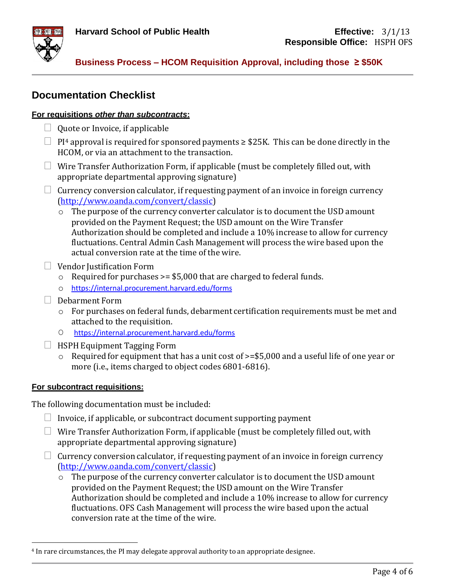



## **Documentation Checklist**

#### **For requisitions** *other than subcontracts***:**

- $\Box$  Quote or Invoice, if applicable
- $\Box$  PI<sup>4</sup> approval is required for sponsored payments  $\geq$  \$25K. This can be done directly in the HCOM, or via an attachment to the transaction.
- $\Box$  Wire Transfer Authorization Form, if applicable (must be completely filled out, with appropriate departmental approving signature)
- $\Box$  Currency conversion calculator, if requesting payment of an invoice in foreign currency [\(http://www.oanda.com/convert/classic\)](http://www.oanda.com/convert/classic)
	- o The purpose of the currency converter calculator is to document the USD amount provided on the Payment Request; the USD amount on the Wire Transfer Authorization should be completed and include a 10% increase to allow for currency fluctuations. Central Admin Cash Management will process the wire based upon the actual conversion rate at the time of the wire.
- $\Box$  Vendor Justification Form
	- $\circ$  Required for purchases >= \$5,000 that are charged to federal funds.
	- o <https://internal.procurement.harvard.edu/forms>
- $\Box$  Debarment Form
	- o For purchases on federal funds, debarment certification requirements must be met and attached to the requisition.
	- O <https://internal.procurement.harvard.edu/forms>
- $\Box$  HSPH Equipment Tagging Form
	- o Required for equipment that has a unit cost of >=\$5,000 and a useful life of one year or more (i.e., items charged to object codes 6801-6816).

#### **For subcontract requisitions:**

The following documentation must be included:

- $\Box$  Invoice, if applicable, or subcontract document supporting payment
- $\Box$  Wire Transfer Authorization Form, if applicable (must be completely filled out, with appropriate departmental approving signature)
- $\Box$  Currency conversion calculator, if requesting payment of an invoice in foreign currency [\(http://www.oanda.com/convert/classic\)](http://www.oanda.com/convert/classic)
	- o The purpose of the currency converter calculator is to document the USD amount provided on the Payment Request; the USD amount on the Wire Transfer Authorization should be completed and include a 10% increase to allow for currency fluctuations. OFS Cash Management will process the wire based upon the actual conversion rate at the time of the wire.

<sup>&</sup>lt;sup>4</sup> In rare circumstances, the PI may delegate approval authority to an appropriate designee.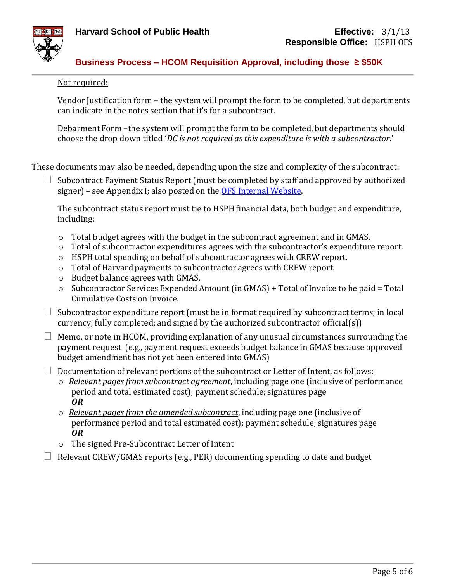



#### Not required:

Vendor Justification form – the system will prompt the form to be completed, but departments can indicate in the notes section that it's for a subcontract.

Debarment Form –the system will prompt the form to be completed, but departments should choose the drop down titled '*DC is not required as this expenditure is with a subcontractor*.'

These documents may also be needed, depending upon the size and complexity of the subcontract:

 Subcontract Payment Status Report (must be completed by staff and approved by authorized signer) – see Appendix I; also posted on the OFS [Internal Website.](https://ofs-adm.sph.harvard.edu/accounts-payable)

The subcontract status report must tie to HSPH financial data, both budget and expenditure, including:

- o Total budget agrees with the budget in the subcontract agreement and in GMAS.
- o Total of subcontractor expenditures agrees with the subcontractor's expenditure report.
- o HSPH total spending on behalf of subcontractor agrees with CREW report.
- o Total of Harvard payments to subcontractor agrees with CREW report.
- o Budget balance agrees with GMAS.
- $\circ$  Subcontractor Services Expended Amount (in GMAS) + Total of Invoice to be paid = Total Cumulative Costs on Invoice.
- $\Box$  Subcontractor expenditure report (must be in format required by subcontract terms; in local currency; fully completed; and signed by the authorized subcontractor official(s))
- $\Box$  Memo, or note in HCOM, providing explanation of any unusual circumstances surrounding the payment request (e.g., payment request exceeds budget balance in GMAS because approved budget amendment has not yet been entered into GMAS)
- $\Box$  Documentation of relevant portions of the subcontract or Letter of Intent, as follows:
	- o *Relevant pages from subcontract agreement*, including page one (inclusive of performance period and total estimated cost); payment schedule; signatures page *OR*
	- o *Relevant pages from the amended subcontract*, including page one (inclusive of performance period and total estimated cost); payment schedule; signatures page *OR*
	- o The signed Pre-Subcontract Letter of Intent
- $\Box$  Relevant CREW/GMAS reports (e.g., PER) documenting spending to date and budget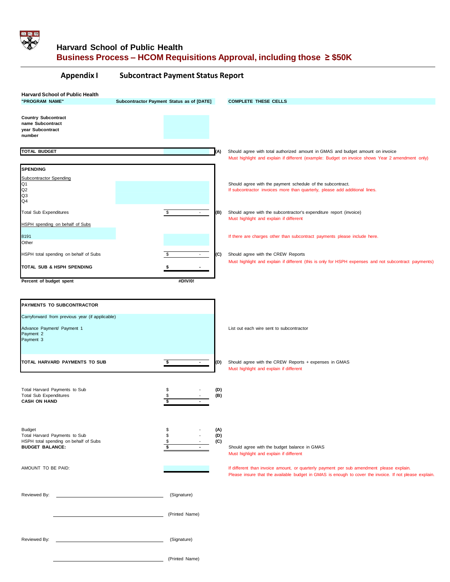

## **Harvard School of Public Health Business Process – HCOM Requisitions Approval, including those ≥ \$50K**

| <b>Appendix I</b>                                                                                                 | <b>Subcontract Payment Status Report</b>  |                   |                                                                                                                                                                                                    |
|-------------------------------------------------------------------------------------------------------------------|-------------------------------------------|-------------------|----------------------------------------------------------------------------------------------------------------------------------------------------------------------------------------------------|
| <b>Harvard School of Public Health</b><br>"PROGRAM NAME"                                                          | Subcontractor Payment Status as of [DATE] |                   | <b>COMPLETE THESE CELLS</b>                                                                                                                                                                        |
| <b>Country Subcontract</b><br>name Subcontract<br>year Subcontract<br>number                                      |                                           |                   |                                                                                                                                                                                                    |
| <b>TOTAL BUDGET</b>                                                                                               |                                           | (A)               | Should agree with total authorized amount in GMAS and budget amount on invoice<br>Must highlight and explain if different (example: Budget on invoice shows Year 2 amendment only)                 |
| <b>SPENDING</b>                                                                                                   |                                           |                   |                                                                                                                                                                                                    |
| <b>Subcontractor Spending</b><br>Q1<br>Q2<br>Q3<br>Q4                                                             |                                           |                   | Should agree with the payment schedule of the subcontract.<br>If subcontractor invoices more than quarterly, please add additional lines.                                                          |
| <b>Total Sub Expenditures</b><br><b>HSPH</b> spending on behalf of Subs                                           | $\sqrt{2}$<br>$\blacksquare$              | (B)               | Should agree with the subcontractor's expenditure report (invoice)<br>Must highlight and explain if different                                                                                      |
| 8191<br>Other                                                                                                     |                                           |                   | If there are charges other than subcontract payments please include here.                                                                                                                          |
| HSPH total spending on behalf of Subs                                                                             | $\blacksquare$                            | (C)               | Should agree with the CREW Reports<br>Must highlight and explain if different (this is only for HSPH expenses and not subcontract payments)                                                        |
| TOTAL SUB & HSPH SPENDING                                                                                         |                                           |                   |                                                                                                                                                                                                    |
| Percent of budget spent                                                                                           | #DIV/0!                                   |                   |                                                                                                                                                                                                    |
| PAYMENTS TO SUBCONTRACTOR                                                                                         |                                           |                   |                                                                                                                                                                                                    |
| Carryforward from previous year (if applicable)                                                                   |                                           |                   |                                                                                                                                                                                                    |
| Advance Payment/ Payment 1<br>Payment 2<br>Payment 3                                                              |                                           |                   | List out each wire sent to subcontractor                                                                                                                                                           |
| TOTAL HARVARD PAYMENTS TO SUB                                                                                     | \$<br>$\sim$                              | (D)               | Should agree with the CREW Reports + expenses in GMAS<br>Must highlight and explain if different                                                                                                   |
| Total Harvard Payments to Sub<br>Total Sub Expenditures<br><b>CASH ON HAND</b>                                    | \$<br>\$<br>\$                            | (D)<br>(B)        |                                                                                                                                                                                                    |
| <b>Budget</b><br>Total Harvard Payments to Sub<br>HSPH total spending on behalf of Subs<br><b>BUDGET BALANCE:</b> | \$<br>\$<br>\$<br>\$                      | (A)<br>(D)<br>(C) | Should agree with the budget balance in GMAS<br>Must highlight and explain if different                                                                                                            |
| AMOUNT TO BE PAID:                                                                                                |                                           |                   | If different than invoice amount, or quarterly payment per sub amendment please explain.<br>Please insure that the available budget in GMAS is enough to cover the invoice. If not please explain. |
| Reviewed By:                                                                                                      | (Signature)                               |                   |                                                                                                                                                                                                    |
|                                                                                                                   | (Printed Name)                            |                   |                                                                                                                                                                                                    |
| Reviewed By:                                                                                                      | (Signature)                               |                   |                                                                                                                                                                                                    |
|                                                                                                                   | (Printed Name)                            |                   |                                                                                                                                                                                                    |